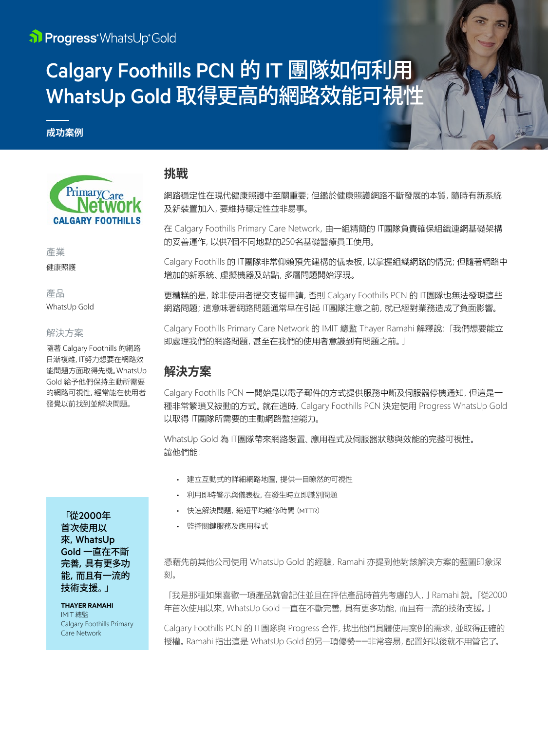# Calgary Foothills PCN 的 IT 團隊如何利用 WhatsUp Gold 取得更高的網路效能可視性

### **成功案例**



產業

健康照護

產品 WhatsUp Gold

#### 解決方案

隨著 Calgary Foothills 的網路 日漸複雜,IT努力想要在網路效 能問題方面取得先機。WhatsUp Gold 給予他們保持主動所需要 的網路可視性,經常能在使用者 發覺以前找到並解決問題。

> 「從2000年 首次使用以 來,WhatsUp Gold 一直在不斷 完善,具有更多功 能,而且有一流的 技術支援。」

> **THAYER RAMAHI** IMIT 總監 Calgary Foothills Primary Care Network

## **挑戰**

網路穩定性在現代健康照護中至關重要;但鑑於健康照護網路不斷發展的本質,隨時有新系統 及新裝置加入,要維持穩定性並非易事。

在 Calgary Foothills Primary Care Network,由一組精簡的 IT團隊負責確保組織連網基礎架構 的妥善運作,以供7個不同地點的250名基礎醫療員工使用。

Calgary Foothills 的 IT團隊非常仰賴預先建構的儀表板,以掌握組織網路的情況;但隨著網路中 增加的新系統、虛擬機器及站點,多層問題開始浮現。

更糟糕的是,除非使用者提交支援申請,否則 Calgary Foothills PCN 的 IT團隊也無法發現這些 網路問題;這意味著網路問題通常早在引起 IT團隊注意之前,就已經對業務造成了負面影響。

Calgary Foothills Primary Care Network 的 IMIT 總監 Thayer Ramahi 解釋說:「我們想要能立 即處理我們的網路問題,甚至在我們的使用者意識到有問題之前。」

# **解決方案**

Calgary Foothills PCN 一開始是以電子郵件的方式提供服務中斷及伺服器停機通知,但這是一 種非常繁瑣又被動的方式。就在這時,Calgary Foothills PCN 決定使用 Progress WhatsUp Gold 以取得 IT團隊所需要的主動網路監控能力。

WhatsUp Gold 為 IT團隊帶來網路裝置、應用程式及伺服器狀態與效能的完整可視性。 讓他們能:

- 建立互動式的詳細網路地圖,提供一目瞭然的可視性
- 利用即時警示與儀表板,在發生時立即識別問題
- 快速解決問題,縮短平均維修時間(MTTR)
- 監控關鍵服務及應用程式

憑藉先前其他公司使用 WhatsUp Gold 的經驗,Ramahi 亦提到他對該解決方案的藍圖印象深 刻。

「我是那種如果喜歡一項產品就會記住並且在評估產品時首先考慮的人,」Ramahi 說。「從2000 年首次使用以來,WhatsUp Gold 一直在不斷完善,具有更多功能,而且有一流的技術支援。」

Calgary Foothills PCN 的 IT團隊與 Progress 合作,找出他們具體使用案例的需求,並取得正確的 授權。Ramahi 指出這是 WhatsUp Gold 的另一項優勢──非常容易,配置好以後就不用管它了。